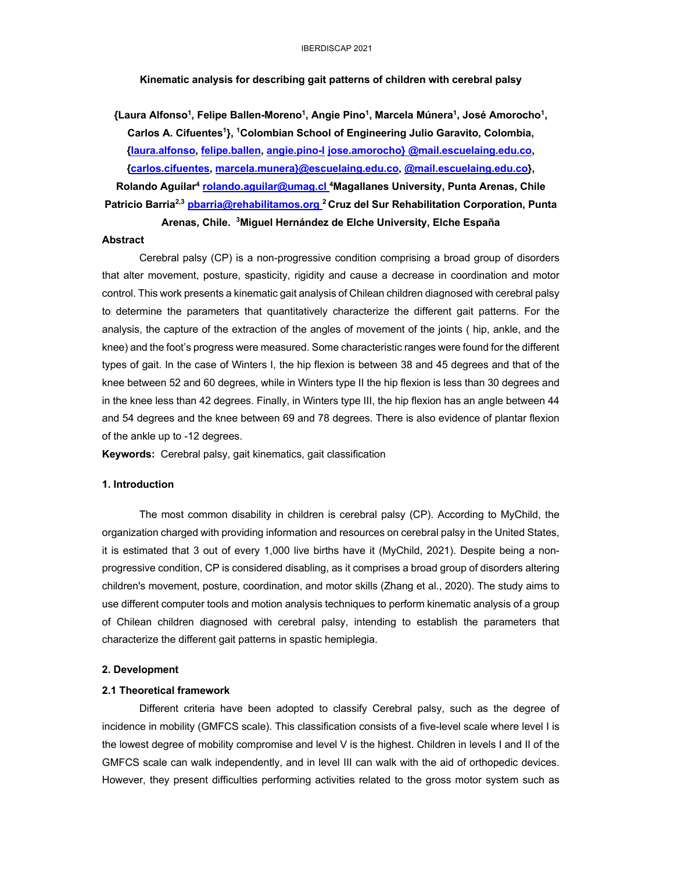**Kinematic analysis for describing gait patterns of children with cerebral palsy** 

**{Laura Alfonso1, Felipe Ballen-Moreno1, Angie Pino1, Marcela Múnera1, José Amorocho1, Carlos A. Cifuentes1}, 1Colombian School of Engineering Julio Garavito, Colombia, {laura.alfonso, felipe.ballen, angie.pino-l jose.amorocho} @mail.escuelaing.edu.co, {carlos.cifuentes, marcela.munera}@escuelaing.edu.co, @mail.escuelaing.edu.co},**

**Rolando Aguilar4 rolando.aguilar@umag.cl 4Magallanes University, Punta Arenas, Chile Patricio Barria2,3 pbarria@rehabilitamos.org <sup>2</sup> Cruz del Sur Rehabilitation Corporation, Punta** 

# **Arenas, Chile. 3Miguel Hernández de Elche University, Elche España**

## **Abstract**

Cerebral palsy (CP) is a non-progressive condition comprising a broad group of disorders that alter movement, posture, spasticity, rigidity and cause a decrease in coordination and motor control. This work presents a kinematic gait analysis of Chilean children diagnosed with cerebral palsy to determine the parameters that quantitatively characterize the different gait patterns. For the analysis, the capture of the extraction of the angles of movement of the joints ( hip, ankle, and the knee) and the foot's progress were measured. Some characteristic ranges were found for the different types of gait. In the case of Winters I, the hip flexion is between 38 and 45 degrees and that of the knee between 52 and 60 degrees, while in Winters type II the hip flexion is less than 30 degrees and in the knee less than 42 degrees. Finally, in Winters type III, the hip flexion has an angle between 44 and 54 degrees and the knee between 69 and 78 degrees. There is also evidence of plantar flexion of the ankle up to -12 degrees.

**Keywords:** Cerebral palsy, gait kinematics, gait classification

# **1. Introduction**

The most common disability in children is cerebral palsy (CP). According to MyChild, the organization charged with providing information and resources on cerebral palsy in the United States, it is estimated that 3 out of every 1,000 live births have it (MyChild, 2021). Despite being a nonprogressive condition, CP is considered disabling, as it comprises a broad group of disorders altering children's movement, posture, coordination, and motor skills (Zhang et al., 2020). The study aims to use different computer tools and motion analysis techniques to perform kinematic analysis of a group of Chilean children diagnosed with cerebral palsy, intending to establish the parameters that characterize the different gait patterns in spastic hemiplegia.

## **2. Development**

#### **2.1 Theoretical framework**

Different criteria have been adopted to classify Cerebral palsy, such as the degree of incidence in mobility (GMFCS scale). This classification consists of a five-level scale where level I is the lowest degree of mobility compromise and level V is the highest. Children in levels I and II of the GMFCS scale can walk independently, and in level III can walk with the aid of orthopedic devices. However, they present difficulties performing activities related to the gross motor system such as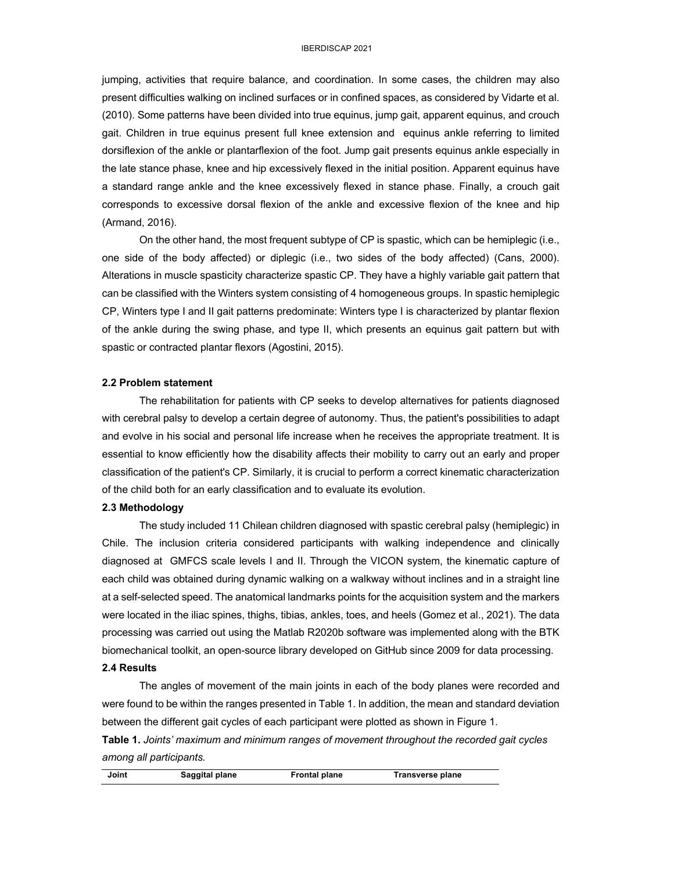jumping, activities that require balance, and coordination. In some cases, the children may also present difficulties walking on inclined surfaces or in confined spaces, as considered by Vidarte et al. (2010). Some patterns have been divided into true equinus, jump gait, apparent equinus, and crouch gait. Children in true equinus present full knee extension and equinus ankle referring to limited dorsiflexion of the ankle or plantarflexion of the foot. Jump gait presents equinus ankle especially in the late stance phase, knee and hip excessively flexed in the initial position. Apparent equinus have a standard range ankle and the knee excessively flexed in stance phase. Finally, a crouch gait corresponds to excessive dorsal flexion of the ankle and excessive flexion of the knee and hip (Armand, 2016).

On the other hand, the most frequent subtype of CP is spastic, which can be hemiplegic (i.e., one side of the body affected) or diplegic (i.e., two sides of the body affected) (Cans, 2000). Alterations in muscle spasticity characterize spastic CP. They have a highly variable gait pattern that can be classified with the Winters system consisting of 4 homogeneous groups. In spastic hemiplegic CP, Winters type I and II gait patterns predominate: Winters type I is characterized by plantar flexion of the ankle during the swing phase, and type II, which presents an equinus gait pattern but with spastic or contracted plantar flexors (Agostini, 2015).

# **2.2 Problem statement**

The rehabilitation for patients with CP seeks to develop alternatives for patients diagnosed with cerebral palsy to develop a certain degree of autonomy. Thus, the patient's possibilities to adapt and evolve in his social and personal life increase when he receives the appropriate treatment. It is essential to know efficiently how the disability affects their mobility to carry out an early and proper classification of the patient's CP. Similarly, it is crucial to perform a correct kinematic characterization of the child both for an early classification and to evaluate its evolution.

# **2.3 Methodology**

The study included 11 Chilean children diagnosed with spastic cerebral palsy (hemiplegic) in Chile. The inclusion criteria considered participants with walking independence and clinically diagnosed at GMFCS scale levels I and II. Through the VICON system, the kinematic capture of each child was obtained during dynamic walking on a walkway without inclines and in a straight line at a self-selected speed. The anatomical landmarks points for the acquisition system and the markers were located in the iliac spines, thighs, tibias, ankles, toes, and heels (Gomez et al., 2021). The data processing was carried out using the Matlab R2020b software was implemented along with the BTK biomechanical toolkit, an open-source library developed on GitHub since 2009 for data processing. **2.4 Results**

The angles of movement of the main joints in each of the body planes were recorded and were found to be within the ranges presented in Table 1. In addition, the mean and standard deviation between the different gait cycles of each participant were plotted as shown in Figure 1.

**Table 1.** *Joints' maximum and minimum ranges of movement throughout the recorded gait cycles among all participants.*

| Joint | Saggital plane | <b>Frontal plane</b> | Transverse plane |  |
|-------|----------------|----------------------|------------------|--|
|       |                |                      |                  |  |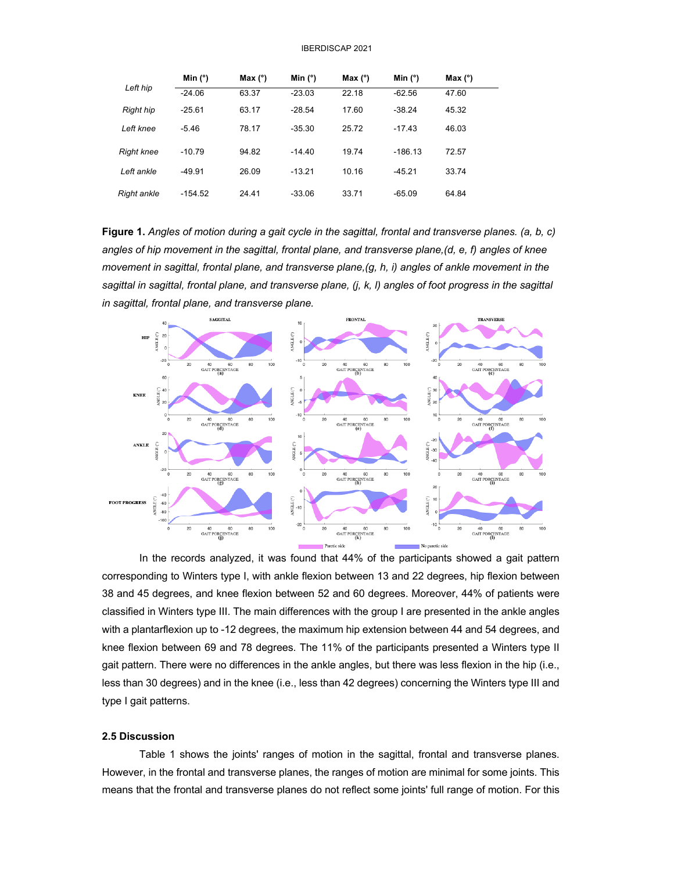| Left hip          | Min $(°)$ | Max $(°)$ | Min $(°)$ | Max $(°)$ | Min $(°)$ | Max $(°)$ |
|-------------------|-----------|-----------|-----------|-----------|-----------|-----------|
|                   | $-24.06$  | 63.37     | $-23.03$  | 22.18     | $-62.56$  | 47.60     |
| <b>Right hip</b>  | $-25.61$  | 63.17     | $-28.54$  | 17.60     | $-38.24$  | 45.32     |
| Left knee         | $-5.46$   | 78.17     | $-35.30$  | 25.72     | $-17.43$  | 46.03     |
| <b>Right knee</b> | $-10.79$  | 94.82     | $-14.40$  | 19.74     | $-186.13$ | 72.57     |
| Left ankle        | $-49.91$  | 26.09     | $-13.21$  | 10.16     | $-45.21$  | 33.74     |
| Right ankle       | $-154.52$ | 24.41     | $-33.06$  | 33.71     | $-65.09$  | 64.84     |

**Figure 1.** *Angles of motion during a gait cycle in the sagittal, frontal and transverse planes. (a, b, c) angles of hip movement in the sagittal, frontal plane, and transverse plane,(d, e, f) angles of knee movement in sagittal, frontal plane, and transverse plane,(g, h, i) angles of ankle movement in the sagittal in sagittal, frontal plane, and transverse plane, (j, k, l) angles of foot progress in the sagittal in sagittal, frontal plane, and transverse plane.*



In the records analyzed, it was found that 44% of the participants showed a gait pattern corresponding to Winters type I, with ankle flexion between 13 and 22 degrees, hip flexion between 38 and 45 degrees, and knee flexion between 52 and 60 degrees. Moreover, 44% of patients were classified in Winters type III. The main differences with the group I are presented in the ankle angles with a plantarflexion up to -12 degrees, the maximum hip extension between 44 and 54 degrees, and knee flexion between 69 and 78 degrees. The 11% of the participants presented a Winters type II gait pattern. There were no differences in the ankle angles, but there was less flexion in the hip (i.e., less than 30 degrees) and in the knee (i.e., less than 42 degrees) concerning the Winters type III and type I gait patterns.

## **2.5 Discussion**

Table 1 shows the joints' ranges of motion in the sagittal, frontal and transverse planes. However, in the frontal and transverse planes, the ranges of motion are minimal for some joints. This means that the frontal and transverse planes do not reflect some joints' full range of motion. For this